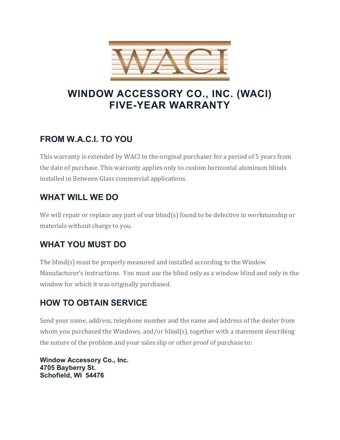

# **WINDOW ACCESSORY CO., INC. (WACI) FIVE-YEAR WARRANTY**

## **FROM W.A.C.I. TO YOU**

This warranty is extended by WACI to the original purchaser for a period of 5 years from the date of purchase. This warranty applies only to custom horizontal aluminum blinds installed in Between Glass commercial applications.

### **WHAT WILL WE DO**

We will repair or replace any part of our blind(s) found to be defective in workmanship or materials without charge to you.

### **WHAT YOU MUST DO**

The blind(s) must be properly measured and installed according to the Window Manufacturer's instructions. You must use the blind only as a window blind and only in the window for which it was originally purchased.

### **HOW TO OBTAIN SERVICE**

Send your name, address, telephone number and the name and address of the dealer from whom you purchased the Windows, and/or blind(s), together with a statement describing the nature of the problem and your sales slip or other proof of purchase to:

**Window Accessory Co., Inc. 4705 Bayberry St. Schofield, WI 54476**